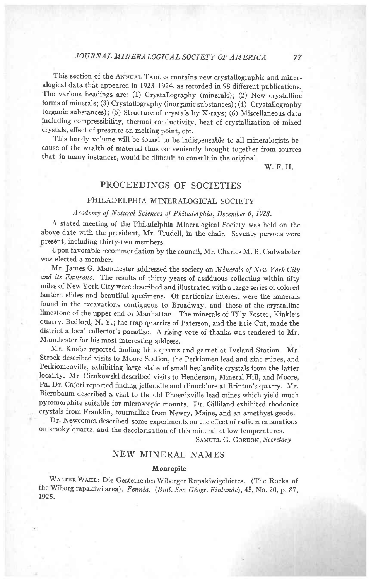## JOURNAL MINERALOGICAL SOCIETY OF AMERICA

This section of the ANNUAL TABLES contains new crystallographic and mineralogical data that appeared in 1923-1924, as recorded in 98 difierent publications. The various headings are: (1) Crystallography (minerals); (2) New crystalline forms of minerals; (3) Crystallography (inorganic substances) ; (4) Crystallography (organic substances); (5) Structure of crystals by X-rays; (6) Miscellaneous data including compressibility, therrnal conductivity, heat of crystallization of mixed crystals, effect of pressure on melting point, etc.

This handy volume will be found to be indispensable to all mineralogists because of the wealth of material thus conveniently brought together from sources that, in many instances, would be difficult to consult in the original.

w. F. H.

## PROCEEDINGS OF SOCIETIES

### PHILADELPHIA MINERALOGICAL SOCIETY

# Academy of Natural Sciences of Philadelphia, December 6, 1928.

A stated meeting of the Philadelphia Mineralogical Society was held on the above date with the president, Mr. Trudell, in the chair. Seventy persons were present, including thirty-two members.

Upon favorable recommendation by the council, Mr. Charles M. B. Cadwalader was elected a member.

Mr. James G. Manchester addressed the society on Minerals of New York City and its Environs. The results of thirty years of assiduous collecting within fifty miles of New York city were described and illustrated with a large series of colored lantern slides and beautiful specimens. of particular interest were the minerals found in the excavations contiguous to Broadway, and those of the crystalline limestone of the upper end of Manhattan. The minerals of rilly Foster; Kinkle's quarry, Bedford, N. Y.; the trap quarries of paterson, and the Erie Cut, made the district a local collector's paradise. A rising vote of thanks was tendered to Mr. Manchester for his most interesting address.

Mr. Knabe reported finding blue quartz and garnet at Iveland Station. Mr. Strock described visits to Moore Station, the perkiomen lead and zinc mines, and Perkiomenville, exhibiting large slabs of small heulandite crystals from the latter locality. Mr. Cienkowski described visits to Henderson, Mineral HiIl, and Moore, Pa. Dr. Cajori reported finding jefierisite and clinochlore at Brinton's quarry. Mr. Biernbaum described a visit to the old Phoenixville lead mines which yield much pyromorphite suitable for microscopic mounts. Dr. Gilliland exhibited rhodonite crystals from Franklin, tourmaline from Newry, Maine, and an amethyst geode.

Dr. Newcomet described some experiments on the efiect of radium emanations on smoky quartz, and the decolorization of this mineral at low temperatures.

SAMUEL G. GORDON, Secretary

#### NEW MINERAL NAMES

#### Monrepite

WALTER WAHL: Die Gesteine des Wiborger Rapakiwigebietes. (The Rocks of the Wiborg rapakiwi area). Fennia. (Bull. Soc. Géogr. Finlande), 45, No. 20, p. 87, t925.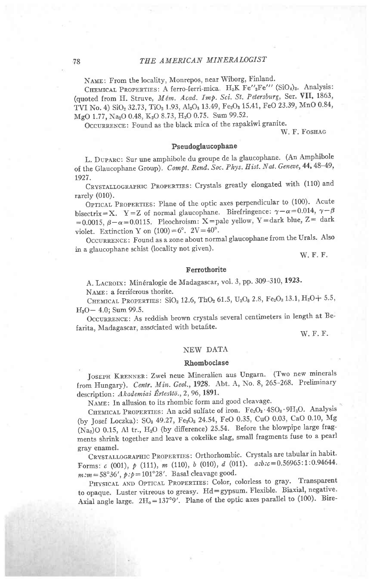NAME: From the locality, Monrepos, near Wiborg, Finland.

CHEMICAL PROPERTIES: A ferro-ferri-mica. H<sub>2</sub>K Fe"<sub>3</sub>Fe"' (SiO<sub>4</sub>)<sub>3</sub>. Analysis: (quoted from H. Struve, Mém. Acad. Imp. Sci. St. Petersburg, Ser. VII, 1863, TVI No. 4) SiO<sub>2</sub> 32.73, TiO<sub>2</sub> 1.93, Al<sub>2</sub>O<sub>3</sub> 13.49, Fe<sub>2</sub>O<sub>3</sub> 15.41, FeO 23.39, MnO 0.84, MgO 1.77, Na<sub>2</sub>O 0.48, K<sub>2</sub>O 8.73, H<sub>2</sub>O 0.75. Sum 99.52.

OCCURRENCE: Found as the black mica of the rapakiwi granite.

W. F. FOSHAG

#### Pseudoglaucophane

L. DUPARC: Sur une amphibole du groupe de la glaucophane. (An Amphibole of the Glaucophane Group). Compt. Rend. Soc. Phys. Hist. Nat. Geneve, 44, 48-49, 1927.

CRYSTALLOGRAPHIC PROPERTIES: Crystals greatly elongated with (110) and rarely  $(010)$ .

OPTICAL PROPERTIES: Plane of the optic axes perpendicular to (100). Acute bisectrix=X. Y=Z of normal glaucophane. Birefringence:  $\gamma - \alpha = 0.014$ ,  $\gamma - \beta$ =0.0015,  $\beta-\alpha$ =0.0115. Pleochroism: X=pale yellow, Y=dark blue, Z= dark violet. Extinction Y on  $(100) = 6^{\circ}$ .  $2V = 40^{\circ}$ .

OCCURRENCE: Found as a zone about normal glaucophane from the Urals. Also in a glaucophane schist (locality not given).

W. F. F.

#### Ferrothorite

A. LACROIX: Minéralogie de Madagascar, vol. 3, pp. 309-310, 1923.

NAME: a ferriferous thorite.

CHEMICAL PROPERTIES: SiO<sub>2</sub> 12.6, ThO<sub>2</sub> 61.5, U<sub>3</sub>O<sub>8</sub> 2.8, Fe<sub>2</sub>O<sub>3</sub> 13.1, H<sub>2</sub>O+ 5.5, H<sub>2</sub>O-4.0; Sum 99.5.

OCCURRENCE: As reddish brown crystals several centimeters in length at Befarita, Madagascar, associated with betafite.

W. F. F.

### NEW DATA

#### Rhomboclase

JOSEPH KRENNER: Zwei neue Mineralien aus Ungarn. (Two new minerals from Hungary). Centr. Min. Geol., 1928. Abt. A, No. 8, 265-268. Preliminary description: Akademiai Értesítö., 2, 96, 1891.

NAME: In allusion to its rhombic form and good cleavage.

CHEMICAL PROPERTIES: An acid sulfate of iron. Fe<sub>2</sub>O<sub>3</sub> · 4SO<sub>3</sub> · 9H<sub>2</sub>O. Analysis (by Josef Loczka): SO<sub>3</sub> 49.27, Fe<sub>2</sub>O<sub>3</sub> 24.54, FeO 0.35, CuO 0.03, CaO 0.10, Mg (Na2)O 0.15, Al tr., H<sub>2</sub>O (by difference) 25.54. Before the blowpipe large fragments shrink together and leave a cokelike slag, small fragments fuse to a pearl gray enamel.

CRYSTALLOGRAPHIC PROPERTIES: Orthorhombic. Crystals are tabular in habit. Forms:  $c$  (001),  $p$  (111),  $m$  (110),  $b$  (010),  $d$  (011).  $a:b:c=0.56965:1:0.94644$ .  $m : m = 58^{\circ}36', p : p = 101^{\circ}28'.$  Basal cleavage good.

PHYSICAL AND OPTICAL PROPERTIES: Color, colorless to gray. Transparent to opaque. Luster vitreous to greasy. Hd=gypsum. Flexible. Biaxial, negative. Axial angle large.  $2H_0 = 137°9'$ . Plane of the optic axes parallel to (100). Bire